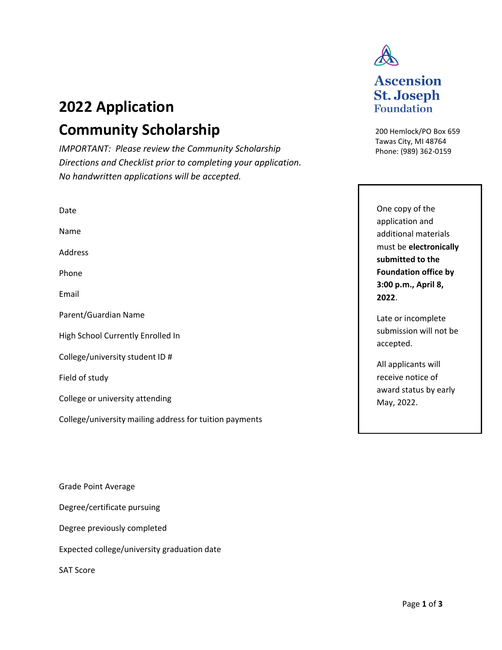# **2022 Application Community Scholarship**

*IMPORTANT: Please review the Community Scholarship Directions and Checklist prior to completing your application. No handwritten applications will be accepted.* 

| Date                                                    |
|---------------------------------------------------------|
| Name                                                    |
| Address                                                 |
| Phone                                                   |
| Email                                                   |
| Parent/Guardian Name                                    |
| High School Currently Enrolled In                       |
| College/university student ID #                         |
| Field of study                                          |
| College or university attending                         |
| College/university mailing address for tuition payments |
|                                                         |
|                                                         |

Grade Point Average

Degree/certificate pursuing

Degree previously completed

Expected college/university graduation date

SAT Score



## **Ascension St. Joseph Foundation**

200 Hemlock/PO Box 659 Tawas City, MI 48764 Phone: (989) 362-0159

One copy of the application and additional materials must be **electronically submitted to the Foundation office by 3:00 p.m., April 8, 2022**.

Late or incomplete submission will not be accepted.

All applicants will receive notice of award status by early May, 2022.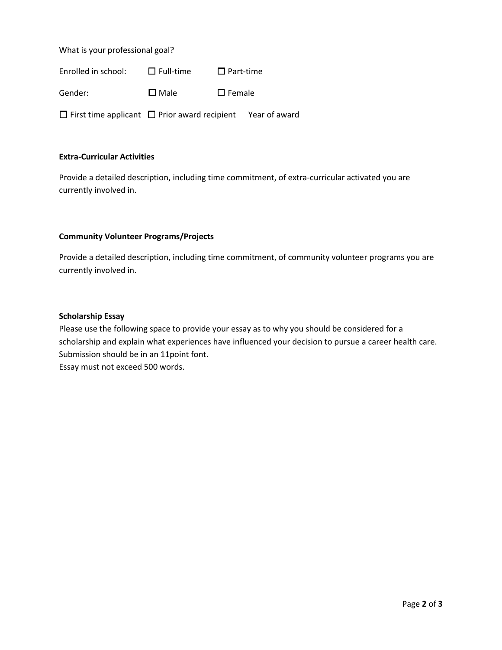What is your professional goal?

Enrolled in school:  $□$  Full-time ☐ Part-time

Gender: □ □ Male ☐ Female

☐ First time applicant ☐ Prior award recipient Year of award

#### **Extra-Curricular Activities**

Provide a detailed description, including time commitment, of extra-curricular activated you are currently involved in.

#### **Community Volunteer Programs/Projects**

Provide a detailed description, including time commitment, of community volunteer programs you are currently involved in.

#### **Scholarship Essay**

Please use the following space to provide your essay as to why you should be considered for a scholarship and explain what experiences have influenced your decision to pursue a career health care. Submission should be in an 11point font. Essay must not exceed 500 words.